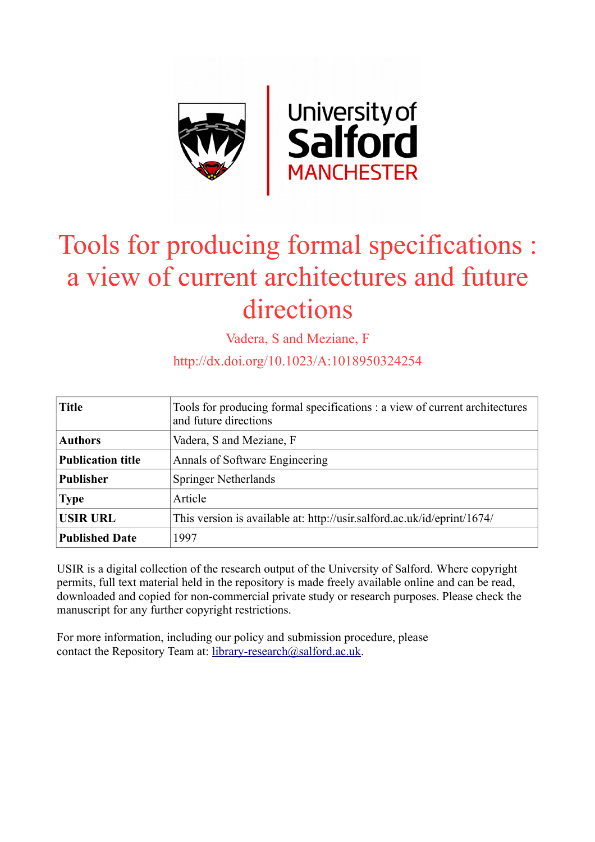

# Tools for producing formal specifications : a view of current architectures and future directions

Vadera, S and Meziane, F

http://dx.doi.org/10.1023/A:1018950324254

| <b>Title</b>             | Tools for producing formal specifications : a view of current architectures<br>and future directions |
|--------------------------|------------------------------------------------------------------------------------------------------|
| <b>Authors</b>           | Vadera, S and Meziane, F                                                                             |
| <b>Publication title</b> | Annals of Software Engineering                                                                       |
| <b>Publisher</b>         | <b>Springer Netherlands</b>                                                                          |
| <b>Type</b>              | Article                                                                                              |
| <b>USIR URL</b>          | This version is available at: http://usir.salford.ac.uk/id/eprint/1674/                              |
| <b>Published Date</b>    | 1997                                                                                                 |

USIR is a digital collection of the research output of the University of Salford. Where copyright permits, full text material held in the repository is made freely available online and can be read, downloaded and copied for non-commercial private study or research purposes. Please check the manuscript for any further copyright restrictions.

For more information, including our policy and submission procedure, please contact the Repository Team at: [library-research@salford.ac.uk.](mailto:library-research@salford.ac.uk)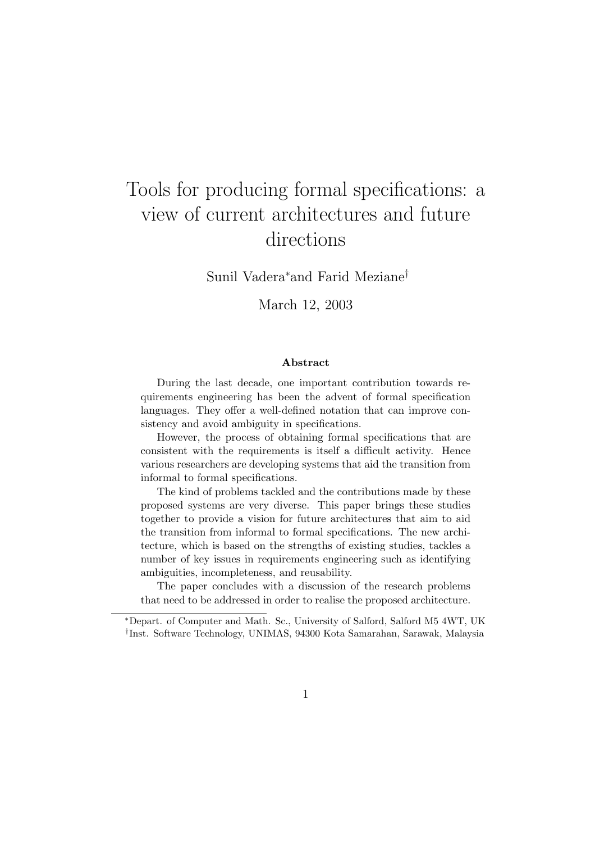## Tools for producing formal specifications: a view of current architectures and future directions

Sunil Vadera<sup>∗</sup>and Farid Meziane†

March 12, 2003

#### Abstract

During the last decade, one important contribution towards requirements engineering has been the advent of formal specification languages. They offer a well-defined notation that can improve consistency and avoid ambiguity in specifications.

However, the process of obtaining formal specifications that are consistent with the requirements is itself a difficult activity. Hence various researchers are developing systems that aid the transition from informal to formal specifications.

The kind of problems tackled and the contributions made by these proposed systems are very diverse. This paper brings these studies together to provide a vision for future architectures that aim to aid the transition from informal to formal specifications. The new architecture, which is based on the strengths of existing studies, tackles a number of key issues in requirements engineering such as identifying ambiguities, incompleteness, and reusability.

The paper concludes with a discussion of the research problems that need to be addressed in order to realise the proposed architecture.

<sup>∗</sup>Depart. of Computer and Math. Sc., University of Salford, Salford M5 4WT, UK † Inst. Software Technology, UNIMAS, 94300 Kota Samarahan, Sarawak, Malaysia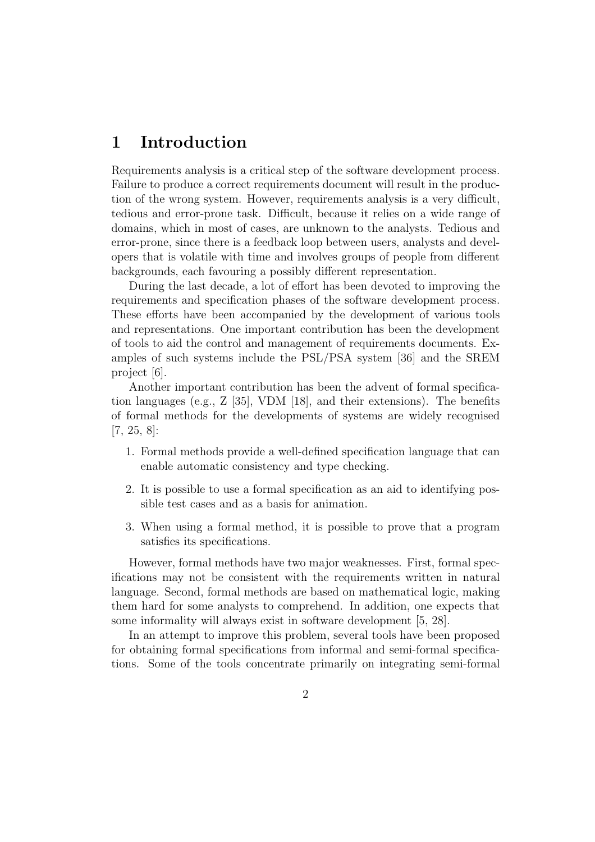## 1 Introduction

Requirements analysis is a critical step of the software development process. Failure to produce a correct requirements document will result in the production of the wrong system. However, requirements analysis is a very difficult, tedious and error-prone task. Difficult, because it relies on a wide range of domains, which in most of cases, are unknown to the analysts. Tedious and error-prone, since there is a feedback loop between users, analysts and developers that is volatile with time and involves groups of people from different backgrounds, each favouring a possibly different representation.

During the last decade, a lot of effort has been devoted to improving the requirements and specification phases of the software development process. These efforts have been accompanied by the development of various tools and representations. One important contribution has been the development of tools to aid the control and management of requirements documents. Examples of such systems include the PSL/PSA system [36] and the SREM project [6].

Another important contribution has been the advent of formal specification languages (e.g., Z [35], VDM [18], and their extensions). The benefits of formal methods for the developments of systems are widely recognised [7, 25, 8]:

- 1. Formal methods provide a well-defined specification language that can enable automatic consistency and type checking.
- 2. It is possible to use a formal specification as an aid to identifying possible test cases and as a basis for animation.
- 3. When using a formal method, it is possible to prove that a program satisfies its specifications.

However, formal methods have two major weaknesses. First, formal specifications may not be consistent with the requirements written in natural language. Second, formal methods are based on mathematical logic, making them hard for some analysts to comprehend. In addition, one expects that some informality will always exist in software development [5, 28].

In an attempt to improve this problem, several tools have been proposed for obtaining formal specifications from informal and semi-formal specifications. Some of the tools concentrate primarily on integrating semi-formal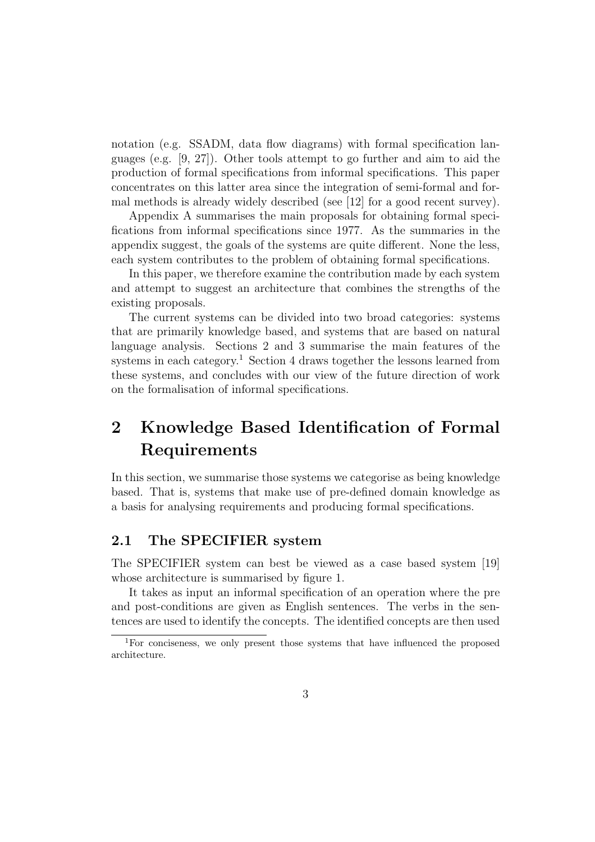notation (e.g. SSADM, data flow diagrams) with formal specification languages (e.g. [9, 27]). Other tools attempt to go further and aim to aid the production of formal specifications from informal specifications. This paper concentrates on this latter area since the integration of semi-formal and formal methods is already widely described (see [12] for a good recent survey).

Appendix A summarises the main proposals for obtaining formal specifications from informal specifications since 1977. As the summaries in the appendix suggest, the goals of the systems are quite different. None the less, each system contributes to the problem of obtaining formal specifications.

In this paper, we therefore examine the contribution made by each system and attempt to suggest an architecture that combines the strengths of the existing proposals.

The current systems can be divided into two broad categories: systems that are primarily knowledge based, and systems that are based on natural language analysis. Sections 2 and 3 summarise the main features of the systems in each category.<sup>1</sup> Section 4 draws together the lessons learned from these systems, and concludes with our view of the future direction of work on the formalisation of informal specifications.

## 2 Knowledge Based Identification of Formal Requirements

In this section, we summarise those systems we categorise as being knowledge based. That is, systems that make use of pre-defined domain knowledge as a basis for analysing requirements and producing formal specifications.

#### 2.1 The SPECIFIER system

The SPECIFIER system can best be viewed as a case based system [19] whose architecture is summarised by figure 1.

It takes as input an informal specification of an operation where the pre and post-conditions are given as English sentences. The verbs in the sentences are used to identify the concepts. The identified concepts are then used

<sup>1</sup>For conciseness, we only present those systems that have influenced the proposed architecture.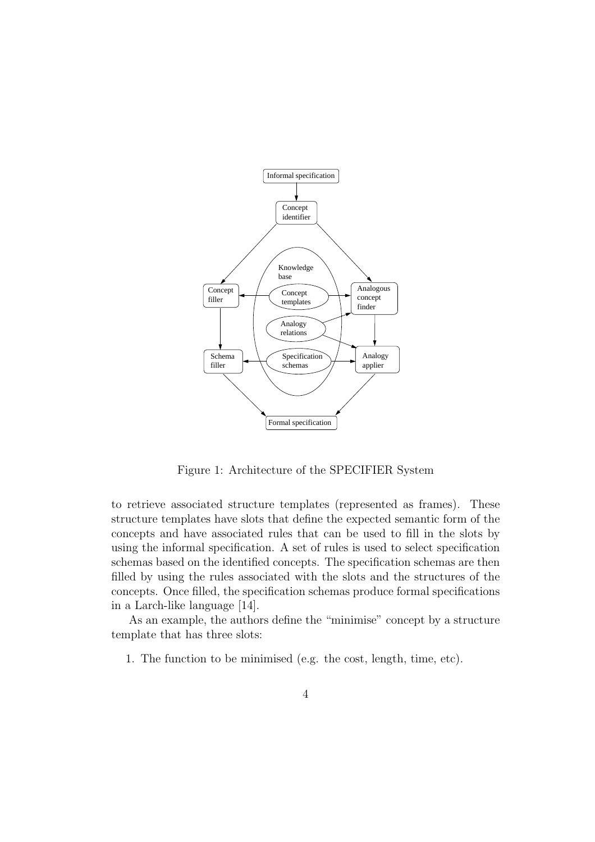

Figure 1: Architecture of the SPECIFIER System

to retrieve associated structure templates (represented as frames). These structure templates have slots that define the expected semantic form of the concepts and have associated rules that can be used to fill in the slots by using the informal specification. A set of rules is used to select specification schemas based on the identified concepts. The specification schemas are then filled by using the rules associated with the slots and the structures of the concepts. Once filled, the specification schemas produce formal specifications in a Larch-like language [14].

As an example, the authors define the "minimise" concept by a structure template that has three slots:

1. The function to be minimised (e.g. the cost, length, time, etc).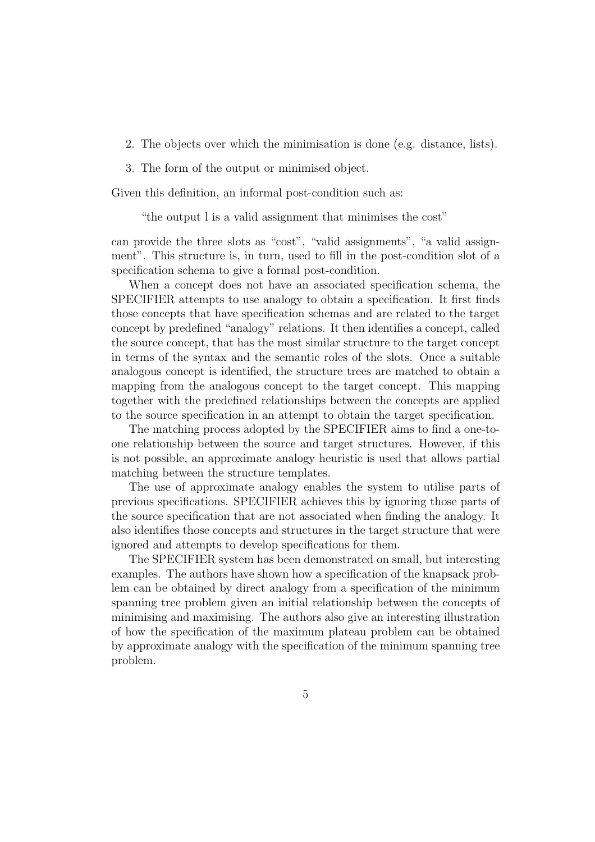- 2. The objects over which the minimisation is done (e.g. distance, lists).
- 3. The form of the output or minimised object.

Given this definition, an informal post-condition such as:

"the output l is a valid assignment that minimises the cost"

can provide the three slots as "cost", "valid assignments", "a valid assignment". This structure is, in turn, used to fill in the post-condition slot of a specification schema to give a formal post-condition.

When a concept does not have an associated specification schema, the SPECIFIER attempts to use analogy to obtain a specification. It first finds those concepts that have specification schemas and are related to the target concept by predefined "analogy" relations. It then identifies a concept, called the source concept, that has the most similar structure to the target concept in terms of the syntax and the semantic roles of the slots. Once a suitable analogous concept is identified, the structure trees are matched to obtain a mapping from the analogous concept to the target concept. This mapping together with the predefined relationships between the concepts are applied to the source specification in an attempt to obtain the target specification.

The matching process adopted by the SPECIFIER aims to find a one-toone relationship between the source and target structures. However, if this is not possible, an approximate analogy heuristic is used that allows partial matching between the structure templates.

The use of approximate analogy enables the system to utilise parts of previous specifications. SPECIFIER achieves this by ignoring those parts of the source specification that are not associated when finding the analogy. It also identifies those concepts and structures in the target structure that were ignored and attempts to develop specifications for them.

The SPECIFIER system has been demonstrated on small, but interesting examples. The authors have shown how a specification of the knapsack problem can be obtained by direct analogy from a specification of the minimum spanning tree problem given an initial relationship between the concepts of minimising and maximising. The authors also give an interesting illustration of how the specification of the maximum plateau problem can be obtained by approximate analogy with the specification of the minimum spanning tree problem.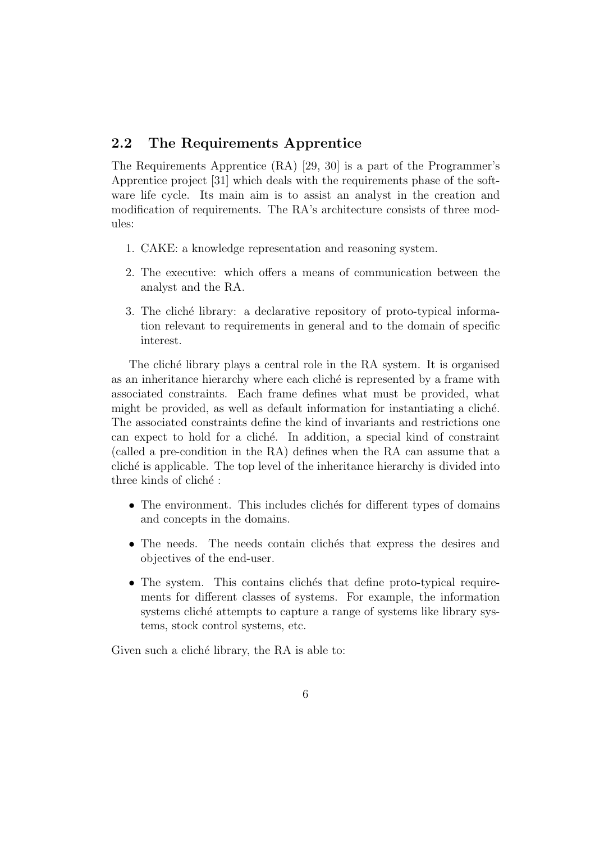#### 2.2 The Requirements Apprentice

The Requirements Apprentice (RA) [29, 30] is a part of the Programmer's Apprentice project [31] which deals with the requirements phase of the software life cycle. Its main aim is to assist an analyst in the creation and modification of requirements. The RA's architecture consists of three modules:

- 1. CAKE: a knowledge representation and reasoning system.
- 2. The executive: which offers a means of communication between the analyst and the RA.
- 3. The cliché library: a declarative repository of proto-typical information relevant to requirements in general and to the domain of specific interest.

The cliché library plays a central role in the RA system. It is organised as an inheritance hierarchy where each cliché is represented by a frame with associated constraints. Each frame defines what must be provided, what might be provided, as well as default information for instantiating a cliché. The associated constraints define the kind of invariants and restrictions one can expect to hold for a cliché. In addition, a special kind of constraint (called a pre-condition in the RA) defines when the RA can assume that a clich´e is applicable. The top level of the inheritance hierarchy is divided into three kinds of cliché :

- The environment. This includes clichés for different types of domains and concepts in the domains.
- The needs. The needs contain clichés that express the desires and objectives of the end-user.
- The system. This contains clichés that define proto-typical requirements for different classes of systems. For example, the information systems cliché attempts to capture a range of systems like library systems, stock control systems, etc.

Given such a cliché library, the RA is able to: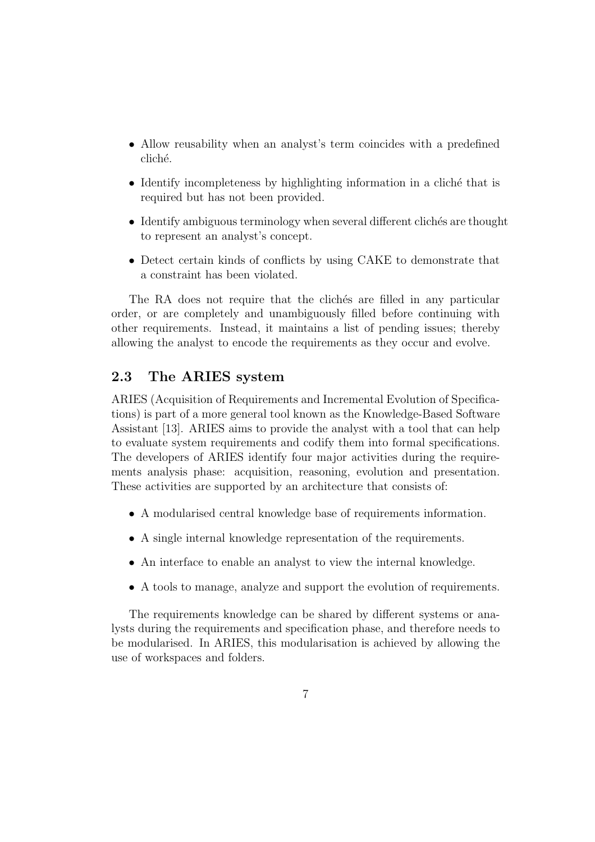- Allow reusability when an analyst's term coincides with a predefined cliché.
- $\bullet$  Identify incompleteness by highlighting information in a cliché that is required but has not been provided.
- Identify ambiguous terminology when several different clichés are thought to represent an analyst's concept.
- Detect certain kinds of conflicts by using CAKE to demonstrate that a constraint has been violated.

The RA does not require that the cliches are filled in any particular order, or are completely and unambiguously filled before continuing with other requirements. Instead, it maintains a list of pending issues; thereby allowing the analyst to encode the requirements as they occur and evolve.

#### 2.3 The ARIES system

ARIES (Acquisition of Requirements and Incremental Evolution of Specifications) is part of a more general tool known as the Knowledge-Based Software Assistant [13]. ARIES aims to provide the analyst with a tool that can help to evaluate system requirements and codify them into formal specifications. The developers of ARIES identify four major activities during the requirements analysis phase: acquisition, reasoning, evolution and presentation. These activities are supported by an architecture that consists of:

- A modularised central knowledge base of requirements information.
- A single internal knowledge representation of the requirements.
- An interface to enable an analyst to view the internal knowledge.
- A tools to manage, analyze and support the evolution of requirements.

The requirements knowledge can be shared by different systems or analysts during the requirements and specification phase, and therefore needs to be modularised. In ARIES, this modularisation is achieved by allowing the use of workspaces and folders.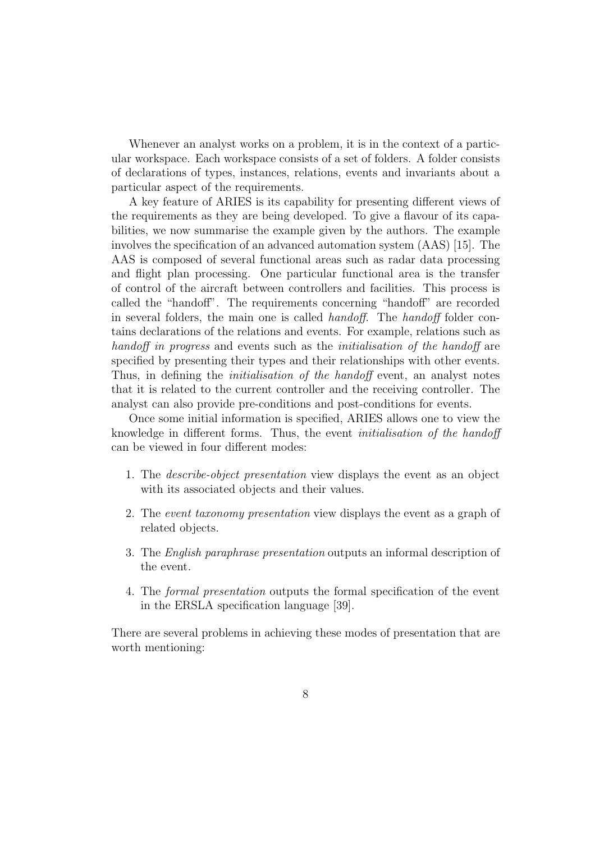Whenever an analyst works on a problem, it is in the context of a particular workspace. Each workspace consists of a set of folders. A folder consists of declarations of types, instances, relations, events and invariants about a particular aspect of the requirements.

A key feature of ARIES is its capability for presenting different views of the requirements as they are being developed. To give a flavour of its capabilities, we now summarise the example given by the authors. The example involves the specification of an advanced automation system (AAS) [15]. The AAS is composed of several functional areas such as radar data processing and flight plan processing. One particular functional area is the transfer of control of the aircraft between controllers and facilities. This process is called the "handoff". The requirements concerning "handoff" are recorded in several folders, the main one is called handoff. The handoff folder contains declarations of the relations and events. For example, relations such as handoff in progress and events such as the *initialisation* of the handoff are specified by presenting their types and their relationships with other events. Thus, in defining the *initialisation of the handoff* event, an analyst notes that it is related to the current controller and the receiving controller. The analyst can also provide pre-conditions and post-conditions for events.

Once some initial information is specified, ARIES allows one to view the knowledge in different forms. Thus, the event initialisation of the handoff can be viewed in four different modes:

- 1. The describe-object presentation view displays the event as an object with its associated objects and their values.
- 2. The event taxonomy presentation view displays the event as a graph of related objects.
- 3. The English paraphrase presentation outputs an informal description of the event.
- 4. The formal presentation outputs the formal specification of the event in the ERSLA specification language [39].

There are several problems in achieving these modes of presentation that are worth mentioning: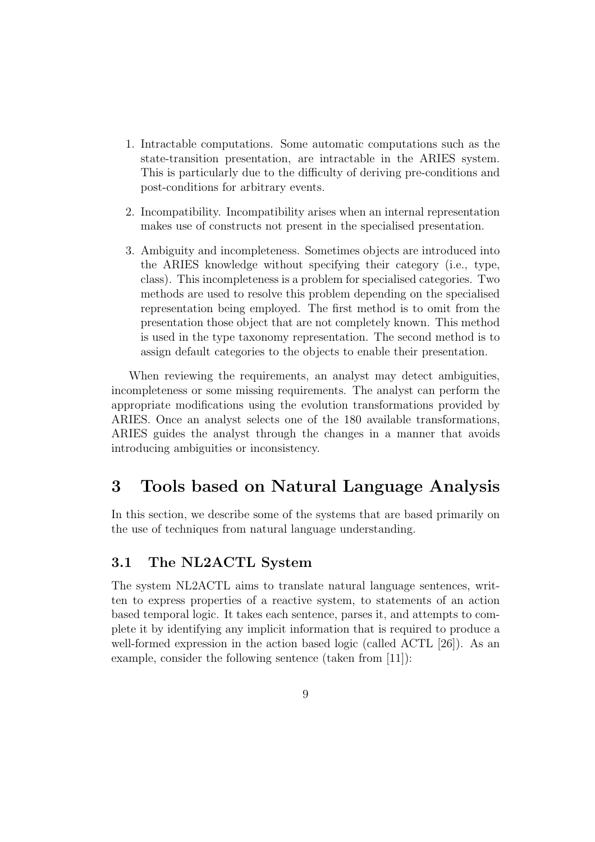- 1. Intractable computations. Some automatic computations such as the state-transition presentation, are intractable in the ARIES system. This is particularly due to the difficulty of deriving pre-conditions and post-conditions for arbitrary events.
- 2. Incompatibility. Incompatibility arises when an internal representation makes use of constructs not present in the specialised presentation.
- 3. Ambiguity and incompleteness. Sometimes objects are introduced into the ARIES knowledge without specifying their category (i.e., type, class). This incompleteness is a problem for specialised categories. Two methods are used to resolve this problem depending on the specialised representation being employed. The first method is to omit from the presentation those object that are not completely known. This method is used in the type taxonomy representation. The second method is to assign default categories to the objects to enable their presentation.

When reviewing the requirements, an analyst may detect ambiguities, incompleteness or some missing requirements. The analyst can perform the appropriate modifications using the evolution transformations provided by ARIES. Once an analyst selects one of the 180 available transformations, ARIES guides the analyst through the changes in a manner that avoids introducing ambiguities or inconsistency.

## 3 Tools based on Natural Language Analysis

In this section, we describe some of the systems that are based primarily on the use of techniques from natural language understanding.

#### 3.1 The NL2ACTL System

The system NL2ACTL aims to translate natural language sentences, written to express properties of a reactive system, to statements of an action based temporal logic. It takes each sentence, parses it, and attempts to complete it by identifying any implicit information that is required to produce a well-formed expression in the action based logic (called ACTL [26]). As an example, consider the following sentence (taken from [11]):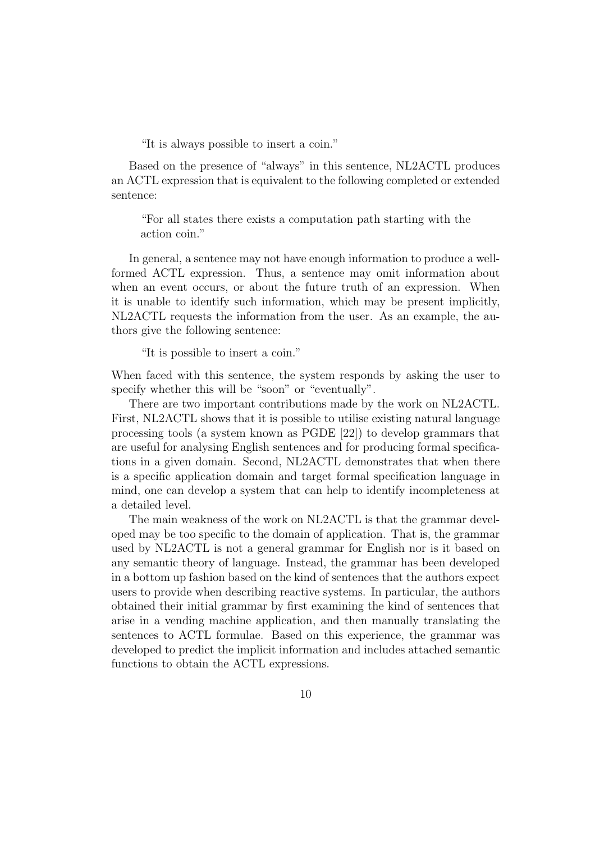"It is always possible to insert a coin."

Based on the presence of "always" in this sentence, NL2ACTL produces an ACTL expression that is equivalent to the following completed or extended sentence:

"For all states there exists a computation path starting with the action coin."

In general, a sentence may not have enough information to produce a wellformed ACTL expression. Thus, a sentence may omit information about when an event occurs, or about the future truth of an expression. When it is unable to identify such information, which may be present implicitly, NL2ACTL requests the information from the user. As an example, the authors give the following sentence:

"It is possible to insert a coin."

When faced with this sentence, the system responds by asking the user to specify whether this will be "soon" or "eventually".

There are two important contributions made by the work on NL2ACTL. First, NL2ACTL shows that it is possible to utilise existing natural language processing tools (a system known as PGDE [22]) to develop grammars that are useful for analysing English sentences and for producing formal specifications in a given domain. Second, NL2ACTL demonstrates that when there is a specific application domain and target formal specification language in mind, one can develop a system that can help to identify incompleteness at a detailed level.

The main weakness of the work on NL2ACTL is that the grammar developed may be too specific to the domain of application. That is, the grammar used by NL2ACTL is not a general grammar for English nor is it based on any semantic theory of language. Instead, the grammar has been developed in a bottom up fashion based on the kind of sentences that the authors expect users to provide when describing reactive systems. In particular, the authors obtained their initial grammar by first examining the kind of sentences that arise in a vending machine application, and then manually translating the sentences to ACTL formulae. Based on this experience, the grammar was developed to predict the implicit information and includes attached semantic functions to obtain the ACTL expressions.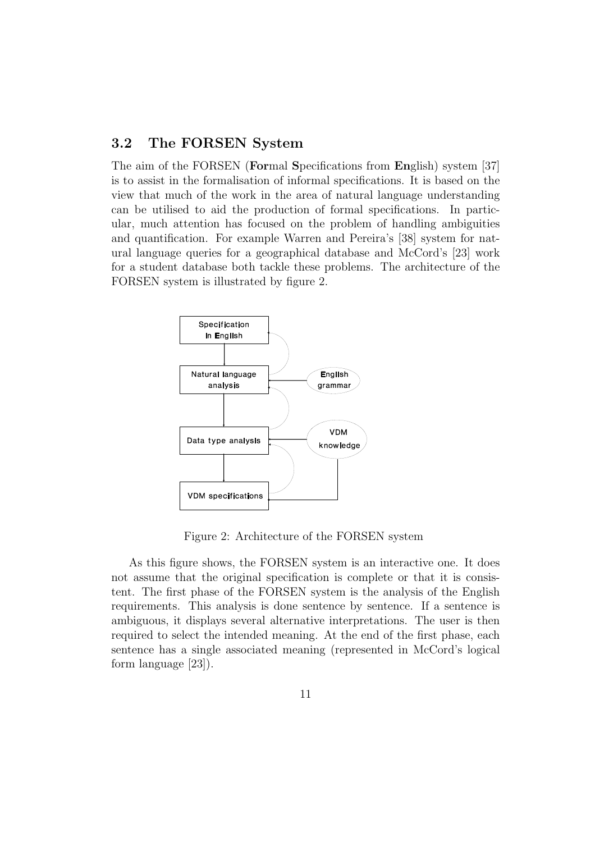#### 3.2 The FORSEN System

The aim of the FORSEN (Formal Specifications from English) system [37] is to assist in the formalisation of informal specifications. It is based on the view that much of the work in the area of natural language understanding can be utilised to aid the production of formal specifications. In particular, much attention has focused on the problem of handling ambiguities and quantification. For example Warren and Pereira's [38] system for natural language queries for a geographical database and McCord's [23] work for a student database both tackle these problems. The architecture of the FORSEN system is illustrated by figure 2.



Figure 2: Architecture of the FORSEN system

As this figure shows, the FORSEN system is an interactive one. It does not assume that the original specification is complete or that it is consistent. The first phase of the FORSEN system is the analysis of the English requirements. This analysis is done sentence by sentence. If a sentence is ambiguous, it displays several alternative interpretations. The user is then required to select the intended meaning. At the end of the first phase, each sentence has a single associated meaning (represented in McCord's logical form language [23]).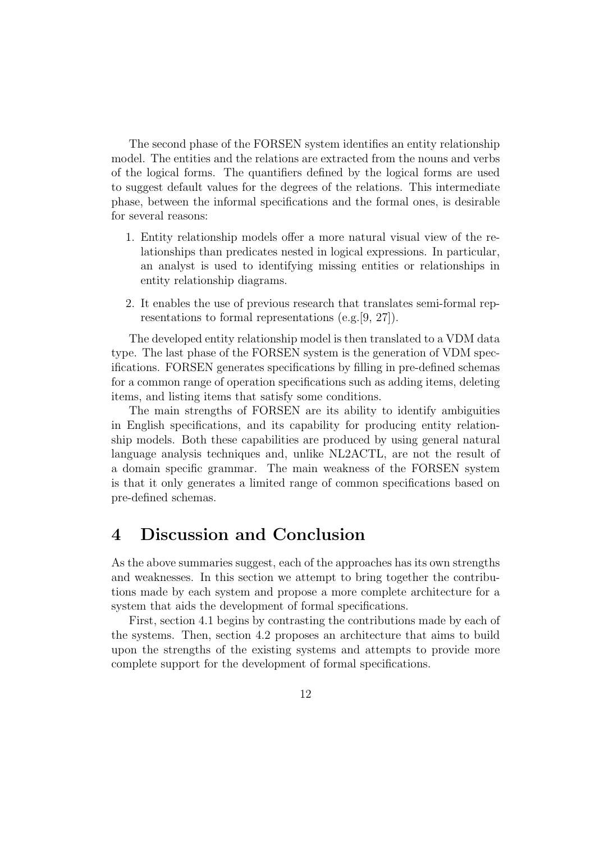The second phase of the FORSEN system identifies an entity relationship model. The entities and the relations are extracted from the nouns and verbs of the logical forms. The quantifiers defined by the logical forms are used to suggest default values for the degrees of the relations. This intermediate phase, between the informal specifications and the formal ones, is desirable for several reasons:

- 1. Entity relationship models offer a more natural visual view of the relationships than predicates nested in logical expressions. In particular, an analyst is used to identifying missing entities or relationships in entity relationship diagrams.
- 2. It enables the use of previous research that translates semi-formal representations to formal representations (e.g.[9, 27]).

The developed entity relationship model is then translated to a VDM data type. The last phase of the FORSEN system is the generation of VDM specifications. FORSEN generates specifications by filling in pre-defined schemas for a common range of operation specifications such as adding items, deleting items, and listing items that satisfy some conditions.

The main strengths of FORSEN are its ability to identify ambiguities in English specifications, and its capability for producing entity relationship models. Both these capabilities are produced by using general natural language analysis techniques and, unlike NL2ACTL, are not the result of a domain specific grammar. The main weakness of the FORSEN system is that it only generates a limited range of common specifications based on pre-defined schemas.

## 4 Discussion and Conclusion

As the above summaries suggest, each of the approaches has its own strengths and weaknesses. In this section we attempt to bring together the contributions made by each system and propose a more complete architecture for a system that aids the development of formal specifications.

First, section 4.1 begins by contrasting the contributions made by each of the systems. Then, section 4.2 proposes an architecture that aims to build upon the strengths of the existing systems and attempts to provide more complete support for the development of formal specifications.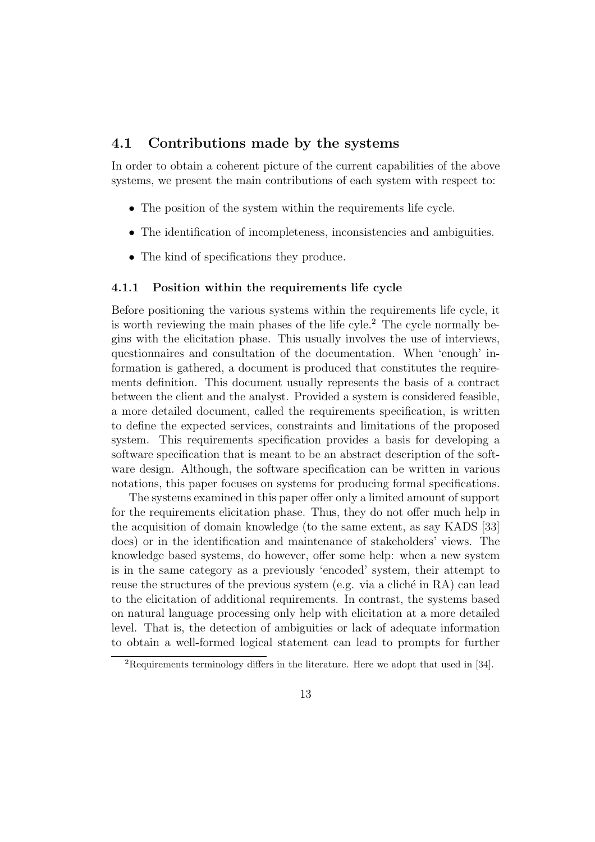#### 4.1 Contributions made by the systems

In order to obtain a coherent picture of the current capabilities of the above systems, we present the main contributions of each system with respect to:

- The position of the system within the requirements life cycle.
- The identification of incompleteness, inconsistencies and ambiguities.
- The kind of specifications they produce.

#### 4.1.1 Position within the requirements life cycle

Before positioning the various systems within the requirements life cycle, it is worth reviewing the main phases of the life cyle.<sup>2</sup> The cycle normally begins with the elicitation phase. This usually involves the use of interviews, questionnaires and consultation of the documentation. When 'enough' information is gathered, a document is produced that constitutes the requirements definition. This document usually represents the basis of a contract between the client and the analyst. Provided a system is considered feasible, a more detailed document, called the requirements specification, is written to define the expected services, constraints and limitations of the proposed system. This requirements specification provides a basis for developing a software specification that is meant to be an abstract description of the software design. Although, the software specification can be written in various notations, this paper focuses on systems for producing formal specifications.

The systems examined in this paper offer only a limited amount of support for the requirements elicitation phase. Thus, they do not offer much help in the acquisition of domain knowledge (to the same extent, as say KADS [33] does) or in the identification and maintenance of stakeholders' views. The knowledge based systems, do however, offer some help: when a new system is in the same category as a previously 'encoded' system, their attempt to reuse the structures of the previous system (e.g. via a cliché in  $RA$ ) can lead to the elicitation of additional requirements. In contrast, the systems based on natural language processing only help with elicitation at a more detailed level. That is, the detection of ambiguities or lack of adequate information to obtain a well-formed logical statement can lead to prompts for further

<sup>2</sup>Requirements terminology differs in the literature. Here we adopt that used in [34].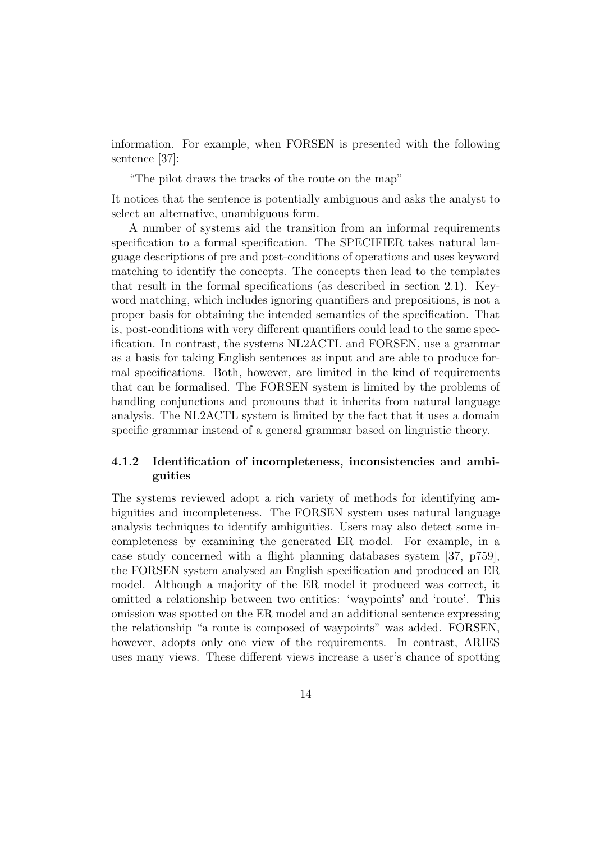information. For example, when FORSEN is presented with the following sentence [37]:

"The pilot draws the tracks of the route on the map"

It notices that the sentence is potentially ambiguous and asks the analyst to select an alternative, unambiguous form.

A number of systems aid the transition from an informal requirements specification to a formal specification. The SPECIFIER takes natural language descriptions of pre and post-conditions of operations and uses keyword matching to identify the concepts. The concepts then lead to the templates that result in the formal specifications (as described in section 2.1). Keyword matching, which includes ignoring quantifiers and prepositions, is not a proper basis for obtaining the intended semantics of the specification. That is, post-conditions with very different quantifiers could lead to the same specification. In contrast, the systems NL2ACTL and FORSEN, use a grammar as a basis for taking English sentences as input and are able to produce formal specifications. Both, however, are limited in the kind of requirements that can be formalised. The FORSEN system is limited by the problems of handling conjunctions and pronouns that it inherits from natural language analysis. The NL2ACTL system is limited by the fact that it uses a domain specific grammar instead of a general grammar based on linguistic theory.

#### 4.1.2 Identification of incompleteness, inconsistencies and ambiguities

The systems reviewed adopt a rich variety of methods for identifying ambiguities and incompleteness. The FORSEN system uses natural language analysis techniques to identify ambiguities. Users may also detect some incompleteness by examining the generated ER model. For example, in a case study concerned with a flight planning databases system [37, p759], the FORSEN system analysed an English specification and produced an ER model. Although a majority of the ER model it produced was correct, it omitted a relationship between two entities: 'waypoints' and 'route'. This omission was spotted on the ER model and an additional sentence expressing the relationship "a route is composed of waypoints" was added. FORSEN, however, adopts only one view of the requirements. In contrast, ARIES uses many views. These different views increase a user's chance of spotting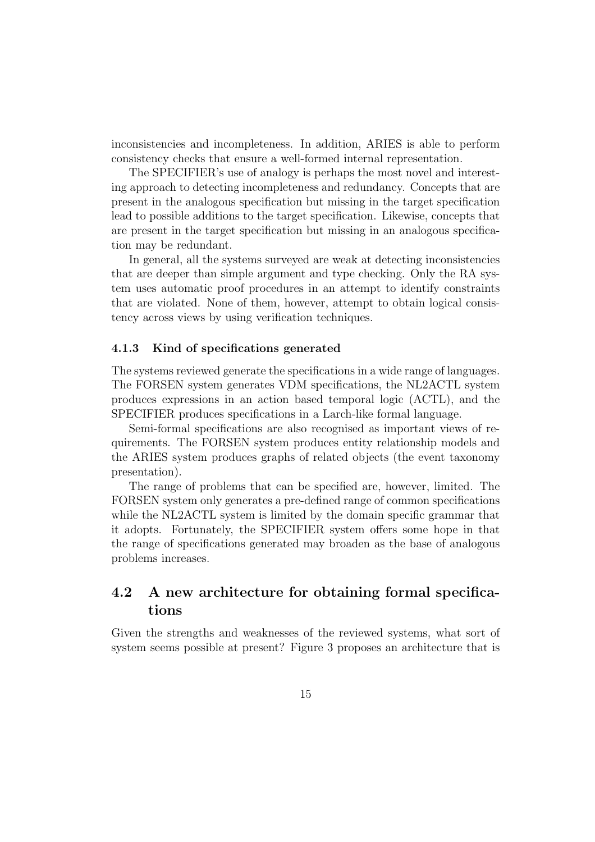inconsistencies and incompleteness. In addition, ARIES is able to perform consistency checks that ensure a well-formed internal representation.

The SPECIFIER's use of analogy is perhaps the most novel and interesting approach to detecting incompleteness and redundancy. Concepts that are present in the analogous specification but missing in the target specification lead to possible additions to the target specification. Likewise, concepts that are present in the target specification but missing in an analogous specification may be redundant.

In general, all the systems surveyed are weak at detecting inconsistencies that are deeper than simple argument and type checking. Only the RA system uses automatic proof procedures in an attempt to identify constraints that are violated. None of them, however, attempt to obtain logical consistency across views by using verification techniques.

#### 4.1.3 Kind of specifications generated

The systems reviewed generate the specifications in a wide range of languages. The FORSEN system generates VDM specifications, the NL2ACTL system produces expressions in an action based temporal logic (ACTL), and the SPECIFIER produces specifications in a Larch-like formal language.

Semi-formal specifications are also recognised as important views of requirements. The FORSEN system produces entity relationship models and the ARIES system produces graphs of related objects (the event taxonomy presentation).

The range of problems that can be specified are, however, limited. The FORSEN system only generates a pre-defined range of common specifications while the NL2ACTL system is limited by the domain specific grammar that it adopts. Fortunately, the SPECIFIER system offers some hope in that the range of specifications generated may broaden as the base of analogous problems increases.

### 4.2 A new architecture for obtaining formal specifications

Given the strengths and weaknesses of the reviewed systems, what sort of system seems possible at present? Figure 3 proposes an architecture that is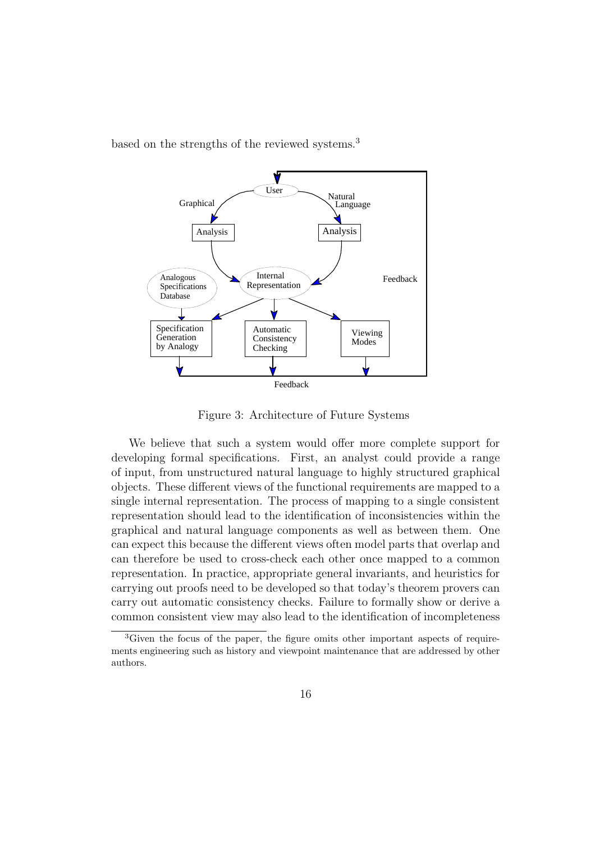based on the strengths of the reviewed systems.<sup>3</sup>



Figure 3: Architecture of Future Systems

We believe that such a system would offer more complete support for developing formal specifications. First, an analyst could provide a range of input, from unstructured natural language to highly structured graphical objects. These different views of the functional requirements are mapped to a single internal representation. The process of mapping to a single consistent representation should lead to the identification of inconsistencies within the graphical and natural language components as well as between them. One can expect this because the different views often model parts that overlap and can therefore be used to cross-check each other once mapped to a common representation. In practice, appropriate general invariants, and heuristics for carrying out proofs need to be developed so that today's theorem provers can carry out automatic consistency checks. Failure to formally show or derive a common consistent view may also lead to the identification of incompleteness

<sup>&</sup>lt;sup>3</sup>Given the focus of the paper, the figure omits other important aspects of requirements engineering such as history and viewpoint maintenance that are addressed by other authors.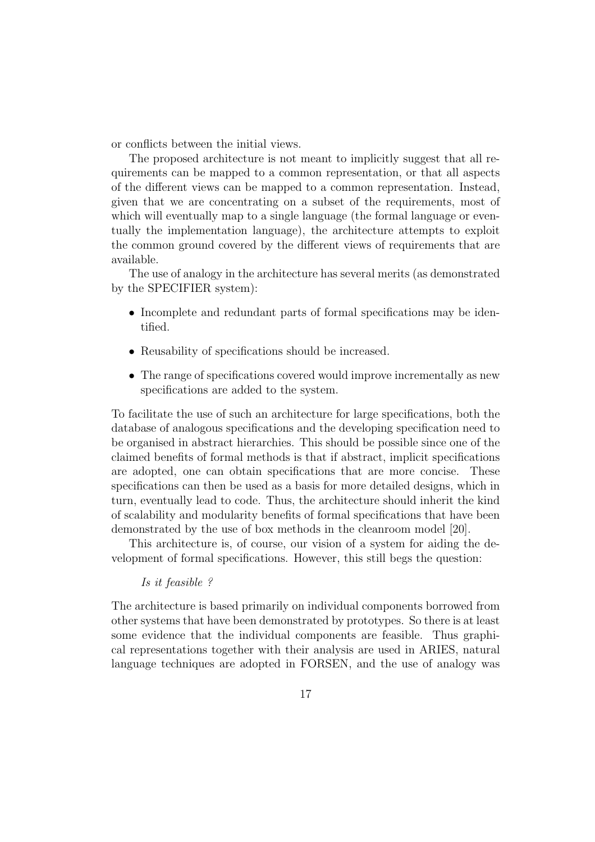or conflicts between the initial views.

The proposed architecture is not meant to implicitly suggest that all requirements can be mapped to a common representation, or that all aspects of the different views can be mapped to a common representation. Instead, given that we are concentrating on a subset of the requirements, most of which will eventually map to a single language (the formal language or eventually the implementation language), the architecture attempts to exploit the common ground covered by the different views of requirements that are available.

The use of analogy in the architecture has several merits (as demonstrated by the SPECIFIER system):

- Incomplete and redundant parts of formal specifications may be identified.
- Reusability of specifications should be increased.
- The range of specifications covered would improve incrementally as new specifications are added to the system.

To facilitate the use of such an architecture for large specifications, both the database of analogous specifications and the developing specification need to be organised in abstract hierarchies. This should be possible since one of the claimed benefits of formal methods is that if abstract, implicit specifications are adopted, one can obtain specifications that are more concise. These specifications can then be used as a basis for more detailed designs, which in turn, eventually lead to code. Thus, the architecture should inherit the kind of scalability and modularity benefits of formal specifications that have been demonstrated by the use of box methods in the cleanroom model [20].

This architecture is, of course, our vision of a system for aiding the development of formal specifications. However, this still begs the question:

#### Is it feasible ?

The architecture is based primarily on individual components borrowed from other systems that have been demonstrated by prototypes. So there is at least some evidence that the individual components are feasible. Thus graphical representations together with their analysis are used in ARIES, natural language techniques are adopted in FORSEN, and the use of analogy was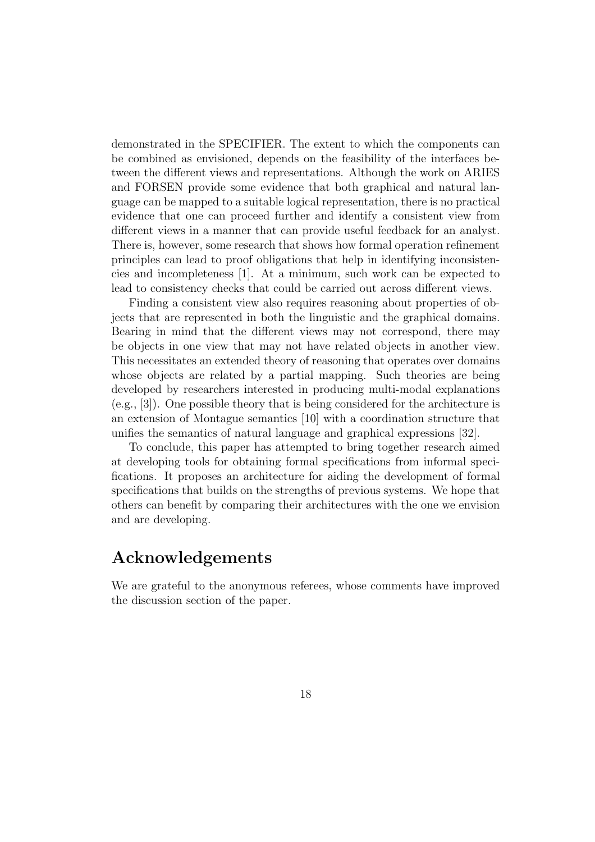demonstrated in the SPECIFIER. The extent to which the components can be combined as envisioned, depends on the feasibility of the interfaces between the different views and representations. Although the work on ARIES and FORSEN provide some evidence that both graphical and natural language can be mapped to a suitable logical representation, there is no practical evidence that one can proceed further and identify a consistent view from different views in a manner that can provide useful feedback for an analyst. There is, however, some research that shows how formal operation refinement principles can lead to proof obligations that help in identifying inconsistencies and incompleteness [1]. At a minimum, such work can be expected to lead to consistency checks that could be carried out across different views.

Finding a consistent view also requires reasoning about properties of objects that are represented in both the linguistic and the graphical domains. Bearing in mind that the different views may not correspond, there may be objects in one view that may not have related objects in another view. This necessitates an extended theory of reasoning that operates over domains whose objects are related by a partial mapping. Such theories are being developed by researchers interested in producing multi-modal explanations (e.g., [3]). One possible theory that is being considered for the architecture is an extension of Montague semantics [10] with a coordination structure that unifies the semantics of natural language and graphical expressions [32].

To conclude, this paper has attempted to bring together research aimed at developing tools for obtaining formal specifications from informal specifications. It proposes an architecture for aiding the development of formal specifications that builds on the strengths of previous systems. We hope that others can benefit by comparing their architectures with the one we envision and are developing.

## Acknowledgements

We are grateful to the anonymous referees, whose comments have improved the discussion section of the paper.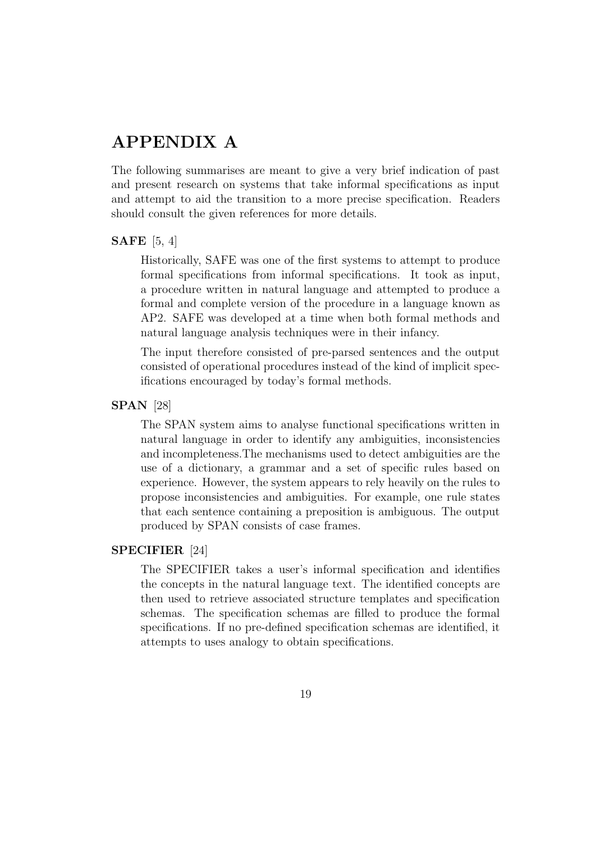## APPENDIX A

The following summarises are meant to give a very brief indication of past and present research on systems that take informal specifications as input and attempt to aid the transition to a more precise specification. Readers should consult the given references for more details.

#### SAFE [5, 4]

Historically, SAFE was one of the first systems to attempt to produce formal specifications from informal specifications. It took as input, a procedure written in natural language and attempted to produce a formal and complete version of the procedure in a language known as AP2. SAFE was developed at a time when both formal methods and natural language analysis techniques were in their infancy.

The input therefore consisted of pre-parsed sentences and the output consisted of operational procedures instead of the kind of implicit specifications encouraged by today's formal methods.

#### SPAN [28]

The SPAN system aims to analyse functional specifications written in natural language in order to identify any ambiguities, inconsistencies and incompleteness.The mechanisms used to detect ambiguities are the use of a dictionary, a grammar and a set of specific rules based on experience. However, the system appears to rely heavily on the rules to propose inconsistencies and ambiguities. For example, one rule states that each sentence containing a preposition is ambiguous. The output produced by SPAN consists of case frames.

#### SPECIFIER [24]

The SPECIFIER takes a user's informal specification and identifies the concepts in the natural language text. The identified concepts are then used to retrieve associated structure templates and specification schemas. The specification schemas are filled to produce the formal specifications. If no pre-defined specification schemas are identified, it attempts to uses analogy to obtain specifications.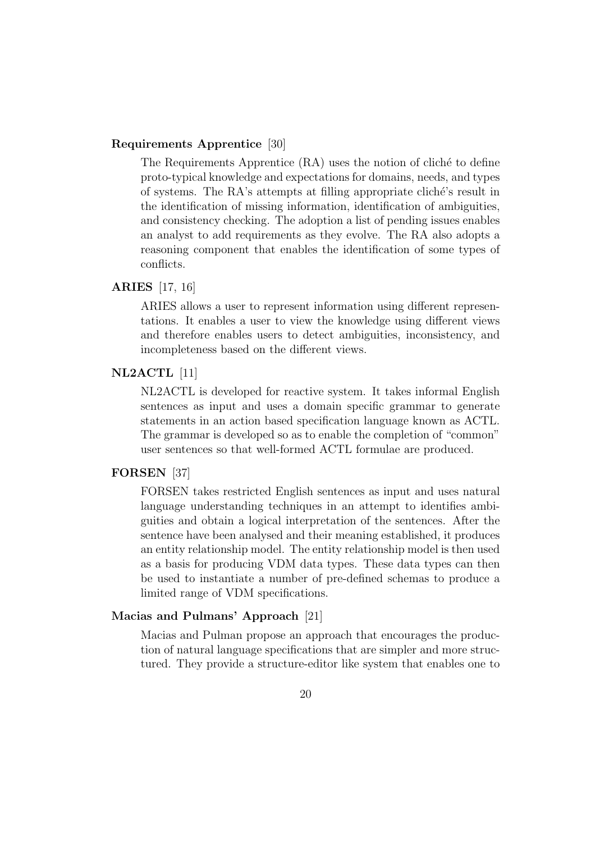#### Requirements Apprentice [30]

The Requirements Apprentice (RA) uses the notion of cliché to define proto-typical knowledge and expectations for domains, needs, and types of systems. The RA's attempts at filling appropriate cliché's result in the identification of missing information, identification of ambiguities, and consistency checking. The adoption a list of pending issues enables an analyst to add requirements as they evolve. The RA also adopts a reasoning component that enables the identification of some types of conflicts.

#### ARIES [17, 16]

ARIES allows a user to represent information using different representations. It enables a user to view the knowledge using different views and therefore enables users to detect ambiguities, inconsistency, and incompleteness based on the different views.

#### NL2ACTL [11]

NL2ACTL is developed for reactive system. It takes informal English sentences as input and uses a domain specific grammar to generate statements in an action based specification language known as ACTL. The grammar is developed so as to enable the completion of "common" user sentences so that well-formed ACTL formulae are produced.

#### FORSEN [37]

FORSEN takes restricted English sentences as input and uses natural language understanding techniques in an attempt to identifies ambiguities and obtain a logical interpretation of the sentences. After the sentence have been analysed and their meaning established, it produces an entity relationship model. The entity relationship model is then used as a basis for producing VDM data types. These data types can then be used to instantiate a number of pre-defined schemas to produce a limited range of VDM specifications.

#### Macias and Pulmans' Approach [21]

Macias and Pulman propose an approach that encourages the production of natural language specifications that are simpler and more structured. They provide a structure-editor like system that enables one to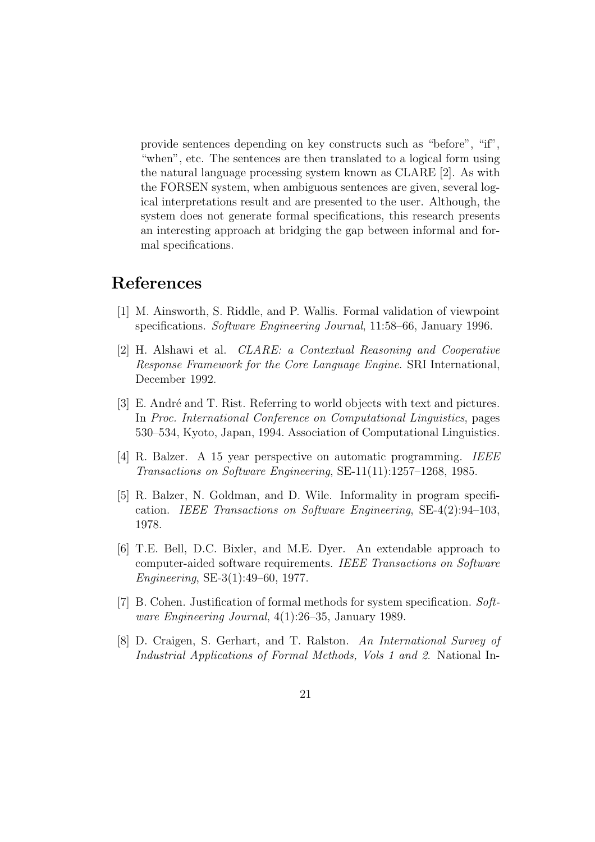provide sentences depending on key constructs such as "before", "if", "when", etc. The sentences are then translated to a logical form using the natural language processing system known as CLARE [2]. As with the FORSEN system, when ambiguous sentences are given, several logical interpretations result and are presented to the user. Although, the system does not generate formal specifications, this research presents an interesting approach at bridging the gap between informal and formal specifications.

## References

- [1] M. Ainsworth, S. Riddle, and P. Wallis. Formal validation of viewpoint specifications. Software Engineering Journal, 11:58–66, January 1996.
- [2] H. Alshawi et al. CLARE: a Contextual Reasoning and Cooperative Response Framework for the Core Language Engine. SRI International, December 1992.
- [3] E. André and T. Rist. Referring to world objects with text and pictures. In Proc. International Conference on Computational Linguistics, pages 530–534, Kyoto, Japan, 1994. Association of Computational Linguistics.
- [4] R. Balzer. A 15 year perspective on automatic programming. IEEE Transactions on Software Engineering, SE-11(11):1257–1268, 1985.
- [5] R. Balzer, N. Goldman, and D. Wile. Informality in program specification. IEEE Transactions on Software Engineering, SE-4(2):94–103, 1978.
- [6] T.E. Bell, D.C. Bixler, and M.E. Dyer. An extendable approach to computer-aided software requirements. IEEE Transactions on Software Engineering, SE-3(1):49–60, 1977.
- [7] B. Cohen. Justification of formal methods for system specification. Software Engineering Journal, 4(1):26–35, January 1989.
- [8] D. Craigen, S. Gerhart, and T. Ralston. An International Survey of Industrial Applications of Formal Methods, Vols 1 and 2. National In-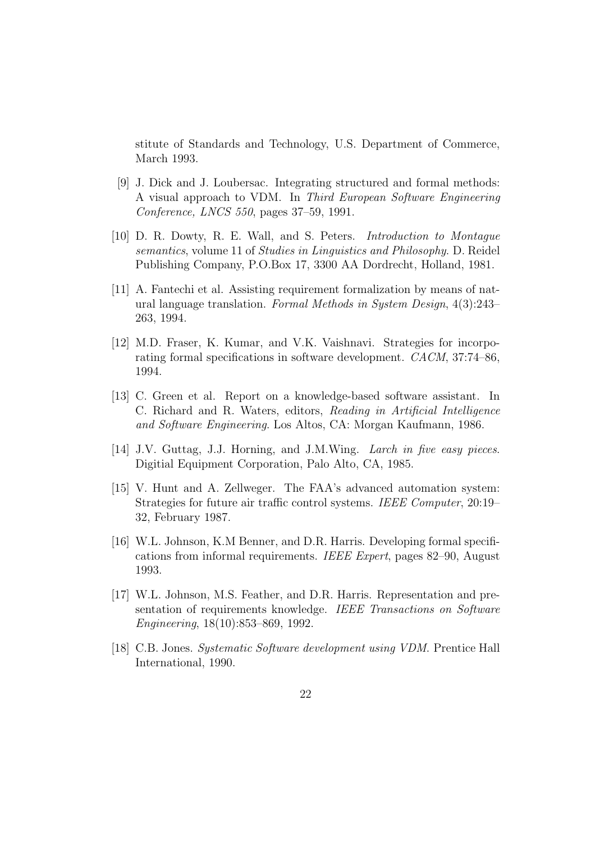stitute of Standards and Technology, U.S. Department of Commerce, March 1993.

- [9] J. Dick and J. Loubersac. Integrating structured and formal methods: A visual approach to VDM. In Third European Software Engineering Conference, LNCS 550, pages 37–59, 1991.
- [10] D. R. Dowty, R. E. Wall, and S. Peters. Introduction to Montague semantics, volume 11 of Studies in Linguistics and Philosophy. D. Reidel Publishing Company, P.O.Box 17, 3300 AA Dordrecht, Holland, 1981.
- [11] A. Fantechi et al. Assisting requirement formalization by means of natural language translation. Formal Methods in System Design, 4(3):243– 263, 1994.
- [12] M.D. Fraser, K. Kumar, and V.K. Vaishnavi. Strategies for incorporating formal specifications in software development. CACM, 37:74–86, 1994.
- [13] C. Green et al. Report on a knowledge-based software assistant. In C. Richard and R. Waters, editors, Reading in Artificial Intelligence and Software Engineering. Los Altos, CA: Morgan Kaufmann, 1986.
- [14] J.V. Guttag, J.J. Horning, and J.M.Wing. Larch in five easy pieces. Digitial Equipment Corporation, Palo Alto, CA, 1985.
- [15] V. Hunt and A. Zellweger. The FAA's advanced automation system: Strategies for future air traffic control systems. IEEE Computer, 20:19– 32, February 1987.
- [16] W.L. Johnson, K.M Benner, and D.R. Harris. Developing formal specifications from informal requirements. IEEE Expert, pages 82–90, August 1993.
- [17] W.L. Johnson, M.S. Feather, and D.R. Harris. Representation and presentation of requirements knowledge. IEEE Transactions on Software Engineering, 18(10):853–869, 1992.
- [18] C.B. Jones. Systematic Software development using VDM. Prentice Hall International, 1990.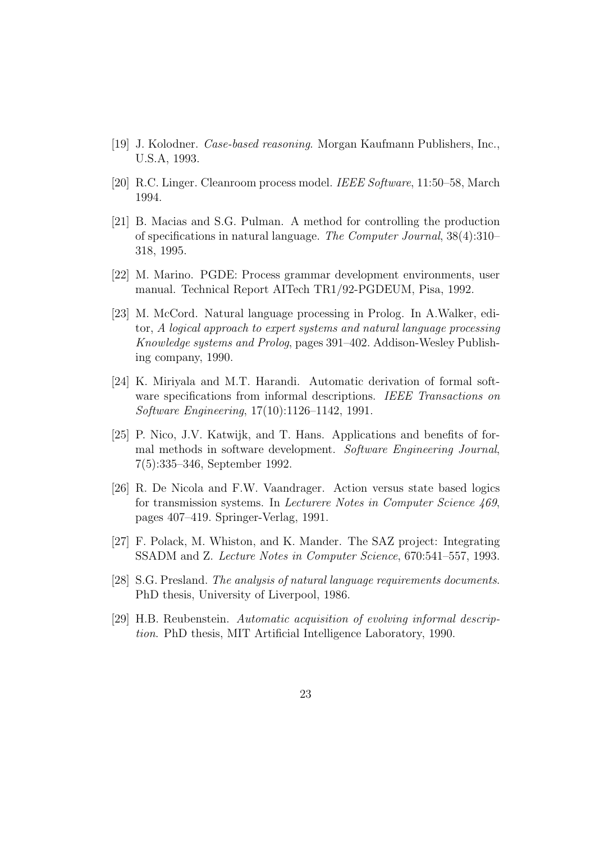- [19] J. Kolodner. Case-based reasoning. Morgan Kaufmann Publishers, Inc., U.S.A, 1993.
- [20] R.C. Linger. Cleanroom process model. IEEE Software, 11:50–58, March 1994.
- [21] B. Macias and S.G. Pulman. A method for controlling the production of specifications in natural language. The Computer Journal, 38(4):310– 318, 1995.
- [22] M. Marino. PGDE: Process grammar development environments, user manual. Technical Report AITech TR1/92-PGDEUM, Pisa, 1992.
- [23] M. McCord. Natural language processing in Prolog. In A.Walker, editor, A logical approach to expert systems and natural language processing Knowledge systems and Prolog, pages 391–402. Addison-Wesley Publishing company, 1990.
- [24] K. Miriyala and M.T. Harandi. Automatic derivation of formal software specifications from informal descriptions. IEEE Transactions on Software Engineering, 17(10):1126–1142, 1991.
- [25] P. Nico, J.V. Katwijk, and T. Hans. Applications and benefits of formal methods in software development. Software Engineering Journal, 7(5):335–346, September 1992.
- [26] R. De Nicola and F.W. Vaandrager. Action versus state based logics for transmission systems. In Lecturere Notes in Computer Science 469, pages 407–419. Springer-Verlag, 1991.
- [27] F. Polack, M. Whiston, and K. Mander. The SAZ project: Integrating SSADM and Z. Lecture Notes in Computer Science, 670:541–557, 1993.
- [28] S.G. Presland. The analysis of natural language requirements documents. PhD thesis, University of Liverpool, 1986.
- [29] H.B. Reubenstein. Automatic acquisition of evolving informal description. PhD thesis, MIT Artificial Intelligence Laboratory, 1990.